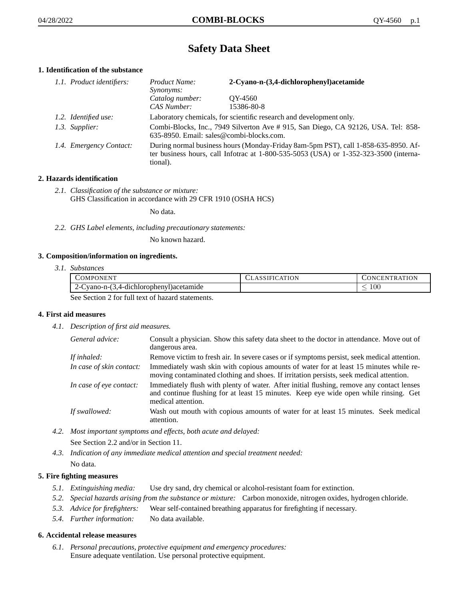# **Safety Data Sheet**

# **1. Identification of the substance**

| 1.1. Product identifiers: | Product Name:<br><i>Synonyms:</i>                                                                                                                                                           | 2-Cyano-n-(3,4-dichlorophenyl) acetamide |
|---------------------------|---------------------------------------------------------------------------------------------------------------------------------------------------------------------------------------------|------------------------------------------|
|                           | Catalog number:<br>CAS Number:                                                                                                                                                              | OY-4560<br>15386-80-8                    |
| 1.2. Identified use:      | Laboratory chemicals, for scientific research and development only.                                                                                                                         |                                          |
| 1.3. Supplier:            | Combi-Blocks, Inc., 7949 Silverton Ave # 915, San Diego, CA 92126, USA. Tel: 858-<br>635-8950. Email: sales@combi-blocks.com.                                                               |                                          |
| 1.4. Emergency Contact:   | During normal business hours (Monday-Friday 8am-5pm PST), call 1-858-635-8950. Af-<br>ter business hours, call Infotrac at $1-800-535-5053$ (USA) or $1-352-323-3500$ (interna-<br>tional). |                                          |

# **2. Hazards identification**

*2.1. Classification of the substance or mixture:* GHS Classification in accordance with 29 CFR 1910 (OSHA HCS)

No data.

*2.2. GHS Label elements, including precautionary statements:*

No known hazard.

## **3. Composition/information on ingredients.**

*3.1. Substances*

| COMPONENT                                        | CLASSIFICATION | <b>CONCENTRATION</b> |
|--------------------------------------------------|----------------|----------------------|
| Cyano-n-(3,4-dichlorophenyl) acetamide           |                | -00                  |
| See Section 2 for full text of hegard statements |                |                      |

See Section 2 for full text of hazard statements.

## **4. First aid measures**

*4.1. Description of first aid measures.*

| General advice:          | Consult a physician. Show this safety data sheet to the doctor in attendance. Move out of<br>dangerous area.                                                                                            |
|--------------------------|---------------------------------------------------------------------------------------------------------------------------------------------------------------------------------------------------------|
| If inhaled:              | Remove victim to fresh air. In severe cases or if symptoms persist, seek medical attention.                                                                                                             |
| In case of skin contact: | Immediately wash skin with copious amounts of water for at least 15 minutes while re-<br>moving contaminated clothing and shoes. If irritation persists, seek medical attention.                        |
| In case of eye contact:  | Immediately flush with plenty of water. After initial flushing, remove any contact lenses<br>and continue flushing for at least 15 minutes. Keep eye wide open while rinsing. Get<br>medical attention. |
| If swallowed:            | Wash out mouth with copious amounts of water for at least 15 minutes. Seek medical<br>attention.                                                                                                        |

*4.2. Most important symptoms and effects, both acute and delayed:*

See Section 2.2 and/or in Section 11.

*4.3. Indication of any immediate medical attention and special treatment needed:* No data.

## **5. Fire fighting measures**

- *5.1. Extinguishing media:* Use dry sand, dry chemical or alcohol-resistant foam for extinction.
- *5.2. Special hazards arising from the substance or mixture:* Carbon monoxide, nitrogen oxides, hydrogen chloride.
- *5.3. Advice for firefighters:* Wear self-contained breathing apparatus for firefighting if necessary.
- *5.4. Further information:* No data available.

## **6. Accidental release measures**

*6.1. Personal precautions, protective equipment and emergency procedures:* Ensure adequate ventilation. Use personal protective equipment.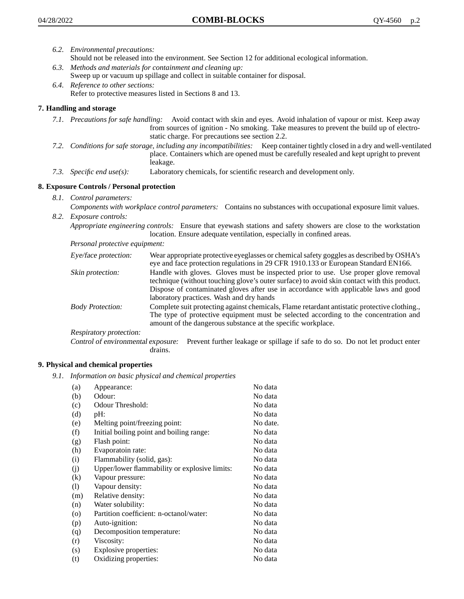- *6.2. Environmental precautions:* Should not be released into the environment. See Section 12 for additional ecological information.
- *6.3. Methods and materials for containment and cleaning up:* Sweep up or vacuum up spillage and collect in suitable container for disposal.
- *6.4. Reference to other sections:* Refer to protective measures listed in Sections 8 and 13.

# **7. Handling and storage**

- *7.1. Precautions for safe handling:* Avoid contact with skin and eyes. Avoid inhalation of vapour or mist. Keep away from sources of ignition - No smoking. Take measures to prevent the build up of electrostatic charge. For precautions see section 2.2.
- *7.2. Conditions for safe storage, including any incompatibilities:* Keep container tightly closed in a dry and well-ventilated place. Containers which are opened must be carefully resealed and kept upright to prevent leakage.
- *7.3. Specific end use(s):* Laboratory chemicals, for scientific research and development only.

## **8. Exposure Controls / Personal protection**

- *8.1. Control parameters:*
- *Components with workplace control parameters:* Contains no substances with occupational exposure limit values. *8.2. Exposure controls:*

*Appropriate engineering controls:* Ensure that eyewash stations and safety showers are close to the workstation location. Ensure adequate ventilation, especially in confined areas.

*Personal protective equipment:*

| Eye/face protection:    | Wear appropriate protective eyeglasses or chemical safety goggles as described by OSHA's<br>eye and face protection regulations in 29 CFR 1910.133 or European Standard EN166.                                                                                                                                         |
|-------------------------|------------------------------------------------------------------------------------------------------------------------------------------------------------------------------------------------------------------------------------------------------------------------------------------------------------------------|
| Skin protection:        | Handle with gloves. Gloves must be inspected prior to use. Use proper glove removal<br>technique (without touching glove's outer surface) to avoid skin contact with this product.<br>Dispose of contaminated gloves after use in accordance with applicable laws and good<br>laboratory practices. Wash and dry hands |
| <b>Body Protection:</b> | Complete suit protecting against chemicals, Flame retardant antistatic protective clothing.,<br>The type of protective equipment must be selected according to the concentration and<br>amount of the dangerous substance at the specific workplace.                                                                   |
| Respiratory protection: |                                                                                                                                                                                                                                                                                                                        |

Control of environmental exposure: Prevent further leakage or spillage if safe to do so. Do not let product enter drains.

## **9. Physical and chemical properties**

*9.1. Information on basic physical and chemical properties*

| (a)                        | Appearance:                                   | No data  |
|----------------------------|-----------------------------------------------|----------|
| (b)                        | Odour:                                        | No data  |
| (c)                        | Odour Threshold:                              | No data  |
| (d)                        | pH:                                           | No data  |
| (e)                        | Melting point/freezing point:                 | No date. |
| (f)                        | Initial boiling point and boiling range:      | No data  |
| (g)                        | Flash point:                                  | No data  |
| (h)                        | Evaporatoin rate:                             | No data  |
| (i)                        | Flammability (solid, gas):                    | No data  |
| (j)                        | Upper/lower flammability or explosive limits: | No data  |
| (k)                        | Vapour pressure:                              | No data  |
| $\left( \mathrm{l}\right)$ | Vapour density:                               | No data  |
| (m)                        | Relative density:                             | No data  |
| (n)                        | Water solubility:                             | No data  |
| $\circ$                    | Partition coefficient: n-octanol/water:       | No data  |
| (p)                        | Auto-ignition:                                | No data  |
| (q)                        | Decomposition temperature:                    | No data  |
| (r)                        | Viscosity:                                    | No data  |
| (s)                        | Explosive properties:                         | No data  |
| (t)                        | Oxidizing properties:                         | No data  |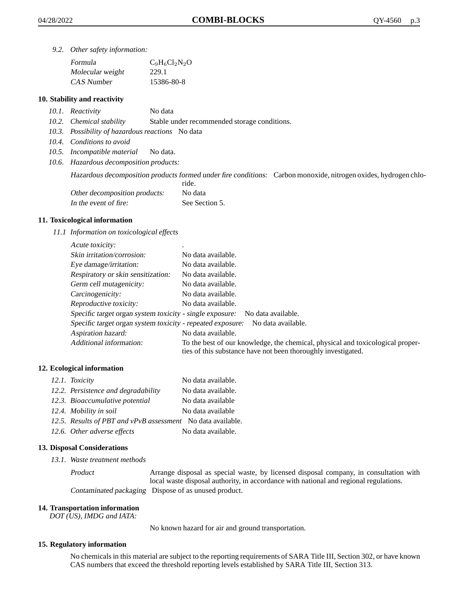*9.2. Other safety information:*

| Formula          | $C_9H_6Cl_2N_2O$ |
|------------------|------------------|
| Molecular weight | 229.1            |
| CAS Number       | 15386-80-8       |

## **10. Stability and reactivity**

- *10.1. Reactivity* No data
- *10.2. Chemical stability* Stable under recommended storage conditions.
- *10.3. Possibility of hazardous reactions* No data
- *10.4. Conditions to avoid*
- *10.5. Incompatible material* No data.
- *10.6. Hazardous decomposition products:*

Hazardous decomposition products formed under fire conditions: Carbon monoxide, nitrogen oxides, hydrogen chlo-

|                               | ride.          |
|-------------------------------|----------------|
| Other decomposition products: | No data        |
| In the event of fire:         | See Section 5. |

#### **11. Toxicological information**

*11.1 Information on toxicological effects*

| Acute toxicity:                                            | ٠                                                                                                                                               |
|------------------------------------------------------------|-------------------------------------------------------------------------------------------------------------------------------------------------|
| Skin irritation/corrosion:                                 | No data available.                                                                                                                              |
| Eye damage/irritation:                                     | No data available.                                                                                                                              |
| Respiratory or skin sensitization:                         | No data available.                                                                                                                              |
| Germ cell mutagenicity:                                    | No data available.                                                                                                                              |
| Carcinogenicity:                                           | No data available.                                                                                                                              |
| Reproductive toxicity:                                     | No data available.                                                                                                                              |
| Specific target organ system toxicity - single exposure:   | No data available.                                                                                                                              |
| Specific target organ system toxicity - repeated exposure: | No data available.                                                                                                                              |
| Aspiration hazard:                                         | No data available.                                                                                                                              |
| Additional information:                                    | To the best of our knowledge, the chemical, physical and toxicological proper-<br>ties of this substance have not been thoroughly investigated. |

## **12. Ecological information**

| 12.1. Toxicity                                              | No data available. |
|-------------------------------------------------------------|--------------------|
| 12.2. Persistence and degradability                         | No data available. |
| 12.3. Bioaccumulative potential                             | No data available  |
| 12.4. Mobility in soil                                      | No data available  |
| 12.5. Results of PBT and vPvB assessment No data available. |                    |
| 12.6. Other adverse effects                                 | No data available. |

## **13. Disposal Considerations**

*13.1. Waste treatment methods*

Product Arrange disposal as special waste, by licensed disposal company, in consultation with local waste disposal authority, in accordance with national and regional regulations. Contaminated packaging Dispose of as unused product.

#### **14. Transportation information**

*DOT (US), IMDG and IATA:*

No known hazard for air and ground transportation.

## **15. Regulatory information**

No chemicals in this material are subject to the reporting requirements of SARA Title III, Section 302, or have known CAS numbers that exceed the threshold reporting levels established by SARA Title III, Section 313.